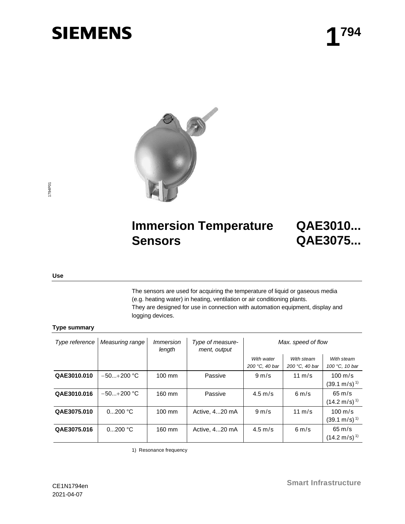# **SIEMENS**



### 1794P01 1794P01

### **Immersion Temperature Sensors**

## **QAE3010... QAE3075...**

#### **Use**

The sensors are used for acquiring the temperature of liquid or gaseous media (e.g. heating water) in heating, ventilation or air conditioning plants. They are designed for use in connection with automation equipment, display and logging devices.

#### **Type summary**

| Type reference | Measuring range | <i>Immersion</i><br>length | Type of measure-<br>ment, output | Max. speed of flow |                  |                          |
|----------------|-----------------|----------------------------|----------------------------------|--------------------|------------------|--------------------------|
|                |                 |                            |                                  | With water         | With steam       | With steam               |
|                |                 |                            |                                  | 200 °C, 40 bar     | 200 °C, 40 bar   | 100 °C, 10 bar           |
| QAE3010.010    | $-50+200$ °C    | $100 \text{ mm}$           | Passive                          | $9 \text{ m/s}$    | 11 $m/s$         | $100 \text{ m/s}$        |
|                |                 |                            |                                  |                    |                  | $(39.1 \text{ m/s})^{1}$ |
| QAE3010.016    | $-50+200$ °C    | 160 mm                     | Passive                          | $4.5 \text{ m/s}$  | $6 \text{ m/s}$  | $65 \text{ m/s}$         |
|                |                 |                            |                                  |                    |                  | $(14.2 \text{ m/s})^{1}$ |
| QAE3075.010    | 0200 °C         | 100 mm                     | Active, 420 mA                   | $9 \text{ m/s}$    | $11 \text{ m/s}$ | $100 \text{ m/s}$        |
|                |                 |                            |                                  |                    |                  | $(39.1 \text{ m/s})^{1}$ |
| QAE3075.016    | 0200 °C         | 160 mm                     | Active, 420 mA                   | $4.5 \text{ m/s}$  | $6 \text{ m/s}$  | $65 \text{ m/s}$         |
|                |                 |                            |                                  |                    |                  | $(14.2 \text{ m/s})^{1}$ |

1) Resonance frequency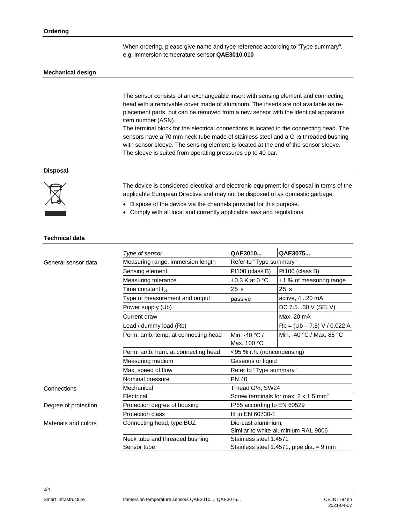When ordering, please give name and type reference according to "Type summary", e.g. immersion temperature sensor **QAE3010.010**

#### **Mechanical design**

The sensor consists of an exchangeable insert with sensing element and connecting head with a removable cover made of aluminum. The inserts are not available as replacement parts, but can be removed from a new sensor with the identical apparatus item number (ASN).

The terminal block for the electrical connections is located in the connecting head. The sensors have a 70 mm neck tube made of stainless steel and a G ½ threaded bushing with sensor sleeve. The sensing element is located at the end of the sensor sleeve. The sleeve is suited from operating pressures up to 40 bar.

#### **Disposal**



The device is considered electrical and electronic equipment for disposal in terms of the applicable European Directive and may not be disposed of as domestic garbage.

- Dispose of the device via the channels provided for this purpose.
- Comply with all local and currently applicable laws and regulations.

#### **Technical data**

|                      | Type of sensor                        | QAE3010                                                 | QAE3075                                  |  |  |  |
|----------------------|---------------------------------------|---------------------------------------------------------|------------------------------------------|--|--|--|
| General sensor data  | Measuring range, immersion length     | Refer to "Type summary"                                 |                                          |  |  |  |
|                      | Sensing element                       | Pt100 (class B)                                         | Pt100 (class B)                          |  |  |  |
|                      | Measuring tolerance                   | $\pm 0.3$ K at 0 °C                                     | $\pm$ 1 % of measuring range             |  |  |  |
|                      | Time constant $t_{63}$                | 25s                                                     | 25s                                      |  |  |  |
|                      | Type of measurement and output        | passive                                                 | active, 420 mA                           |  |  |  |
|                      | Power supply (Ub)                     |                                                         | DC 7.530 V (SELV)                        |  |  |  |
|                      | Current draw                          |                                                         | Max. 20 mA                               |  |  |  |
|                      | Load / dummy load (Rb)                |                                                         | $Rb = (Ub - 7.5) V / 0.022 A$            |  |  |  |
|                      | Perm. amb. temp. at connecting head   | Min. -40 $°C/$                                          | Min. -40 °C / Max. 85 °C                 |  |  |  |
|                      |                                       | Max. 100 °C                                             |                                          |  |  |  |
|                      | Perm. amb. hum. at connecting head    | <95 % r.h. (noncondensing)                              |                                          |  |  |  |
|                      | Measuring medium                      | Gaseous or liquid                                       |                                          |  |  |  |
|                      | Max. speed of flow                    | Refer to "Type summary"                                 |                                          |  |  |  |
|                      | Nominal pressure                      | <b>PN 40</b>                                            |                                          |  |  |  |
| Connections          | Mechanical                            | Thread G1/2, SW24                                       |                                          |  |  |  |
|                      | Electrical                            | Screw terminals for max, $2 \times 1.5$ mm <sup>2</sup> |                                          |  |  |  |
| Degree of protection | Protection degree of housing          | IP65 according to EN 60529                              |                                          |  |  |  |
|                      | III to EN 60730-1<br>Protection class |                                                         |                                          |  |  |  |
| Materials and colors | Connecting head, type BUZ             | Die-cast aluminium;                                     |                                          |  |  |  |
|                      |                                       | Similar to white-aluminium RAL 9006                     |                                          |  |  |  |
|                      | Neck tube and threaded bushing        | Stainless steel 1.4571                                  |                                          |  |  |  |
|                      | Sensor tube                           |                                                         | Stainless steel 1.4571, pipe dia. = 9 mm |  |  |  |

2/4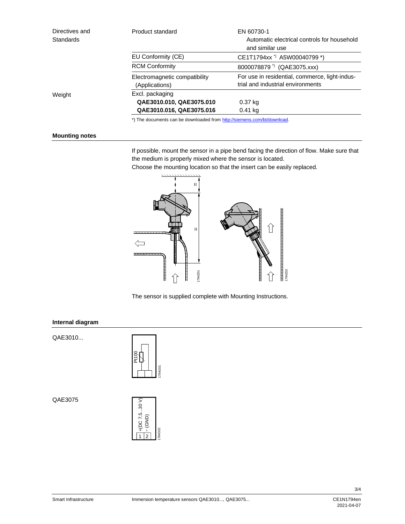| Directives and<br><b>Standards</b> | Product standard                                                        | EN 60730-1<br>Automatic electrical controls for household<br>and similar use        |  |  |  |
|------------------------------------|-------------------------------------------------------------------------|-------------------------------------------------------------------------------------|--|--|--|
|                                    | EU Conformity (CE)                                                      | CE1T1794xx <sup>*</sup> ) A5W00040799 *)                                            |  |  |  |
|                                    | <b>RCM Conformity</b>                                                   | 8000078879 <sup>*</sup> ) (QAE3075.xxx)                                             |  |  |  |
|                                    | Electromagnetic compatibility<br>(Applications)                         | For use in residential, commerce, light-indus-<br>trial and industrial environments |  |  |  |
| Weight                             | Excl. packaging                                                         |                                                                                     |  |  |  |
|                                    | QAE3010.010, QAE3075.010                                                | 0.37 kg                                                                             |  |  |  |
|                                    | QAE3010.016, QAE3075.016                                                | $0.41$ kg                                                                           |  |  |  |
|                                    | *) The documents can be downloaded from http://siemens.com/bt/download. |                                                                                     |  |  |  |

#### **Mounting notes**

If possible, mount the sensor in a pipe bend facing the direction of flow. Make sure that the medium is properly mixed where the sensor is located.

Choose the mounting location so that the insert can be easily replaced.



The sensor is supplied complete with Mounting Instructions.

#### **Internal diagram**

QAE3010...



QAE3075



3/4